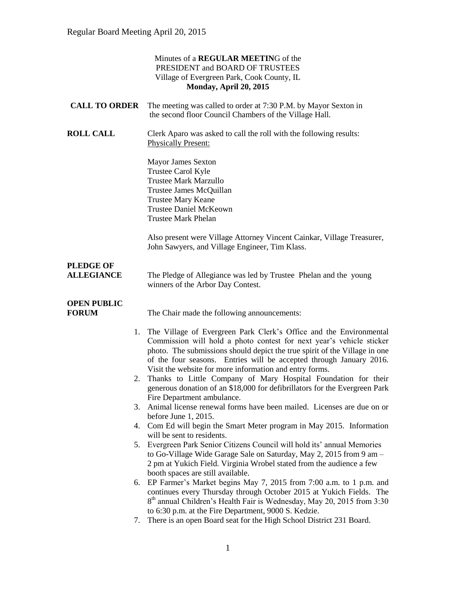|                                       | Minutes of a REGULAR MEETING of the<br>PRESIDENT and BOARD OF TRUSTEES<br>Village of Evergreen Park, Cook County, IL<br>Monday, April 20, 2015                                                                                                                                                                                                             |
|---------------------------------------|------------------------------------------------------------------------------------------------------------------------------------------------------------------------------------------------------------------------------------------------------------------------------------------------------------------------------------------------------------|
| <b>CALL TO ORDER</b>                  | The meeting was called to order at 7:30 P.M. by Mayor Sexton in<br>the second floor Council Chambers of the Village Hall.                                                                                                                                                                                                                                  |
| <b>ROLL CALL</b>                      | Clerk Aparo was asked to call the roll with the following results:<br><b>Physically Present:</b>                                                                                                                                                                                                                                                           |
|                                       | Mayor James Sexton<br>Trustee Carol Kyle<br><b>Trustee Mark Marzullo</b><br>Trustee James McQuillan<br><b>Trustee Mary Keane</b><br><b>Trustee Daniel McKeown</b><br><b>Trustee Mark Phelan</b>                                                                                                                                                            |
|                                       | Also present were Village Attorney Vincent Cainkar, Village Treasurer,<br>John Sawyers, and Village Engineer, Tim Klass.                                                                                                                                                                                                                                   |
| <b>PLEDGE OF</b><br><b>ALLEGIANCE</b> | The Pledge of Allegiance was led by Trustee Phelan and the young<br>winners of the Arbor Day Contest.                                                                                                                                                                                                                                                      |
| <b>OPEN PUBLIC</b><br><b>FORUM</b>    | The Chair made the following announcements:                                                                                                                                                                                                                                                                                                                |
| 1.                                    | The Village of Evergreen Park Clerk's Office and the Environmental<br>Commission will hold a photo contest for next year's vehicle sticker<br>photo. The submissions should depict the true spirit of the Village in one<br>of the four seasons. Entries will be accepted through January 2016.<br>Visit the website for more information and entry forms. |
|                                       | 2. Thanks to Little Company of Mary Hospital Foundation for their<br>generous donation of an \$18,000 for defibrillators for the Evergreen Park<br>Fire Department ambulance.                                                                                                                                                                              |
| 3.                                    | Animal license renewal forms have been mailed. Licenses are due on or<br>before June $1, 2015$ .                                                                                                                                                                                                                                                           |
| 4.                                    | Com Ed will begin the Smart Meter program in May 2015. Information<br>will be sent to residents.                                                                                                                                                                                                                                                           |
| 5.                                    | Evergreen Park Senior Citizens Council will hold its' annual Memories<br>to Go-Village Wide Garage Sale on Saturday, May 2, 2015 from 9 am -<br>2 pm at Yukich Field. Virginia Wrobel stated from the audience a few<br>booth spaces are still available.                                                                                                  |
| 6.                                    | EP Farmer's Market begins May 7, 2015 from 7:00 a.m. to 1 p.m. and<br>continues every Thursday through October 2015 at Yukich Fields. The<br>8 <sup>th</sup> annual Children's Health Fair is Wednesday, May 20, 2015 from 3:30                                                                                                                            |
| 7.                                    | to 6:30 p.m. at the Fire Department, 9000 S. Kedzie.<br>There is an open Board seat for the High School District 231 Board.                                                                                                                                                                                                                                |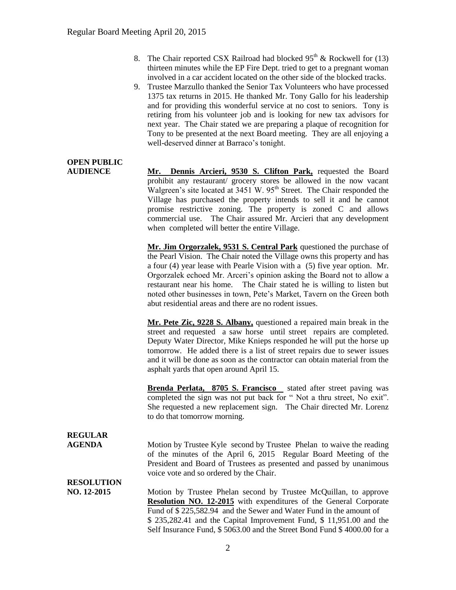- 8. The Chair reported CSX Railroad had blocked  $95<sup>th</sup>$  & Rockwell for (13) thirteen minutes while the EP Fire Dept. tried to get to a pregnant woman involved in a car accident located on the other side of the blocked tracks.
- 9. Trustee Marzullo thanked the Senior Tax Volunteers who have processed 1375 tax returns in 2015. He thanked Mr. Tony Gallo for his leadership and for providing this wonderful service at no cost to seniors. Tony is retiring from his volunteer job and is looking for new tax advisors for next year. The Chair stated we are preparing a plaque of recognition for Tony to be presented at the next Board meeting. They are all enjoying a well-deserved dinner at Barraco's tonight.

# **OPEN PUBLIC**

**AUDIENCE Mr. Dennis Arcieri, 9530 S. Clifton Park,** requested the Board prohibit any restaurant/ grocery stores be allowed in the now vacant Walgreen's site located at  $3451$  W.  $95<sup>th</sup>$  Street. The Chair responded the Village has purchased the property intends to sell it and he cannot promise restrictive zoning. The property is zoned C and allows commercial use. The Chair assured Mr. Arcieri that any development when completed will better the entire Village.

> **Mr. Jim Orgorzalek, 9531 S. Central Park** questioned the purchase of the Pearl Vision. The Chair noted the Village owns this property and has a four (4) year lease with Pearle Vision with a (5) five year option. Mr. Orgorzalek echoed Mr. Arceri's opinion asking the Board not to allow a restaurant near his home. The Chair stated he is willing to listen but noted other businesses in town, Pete's Market, Tavern on the Green both abut residential areas and there are no rodent issues.

> **Mr. Pete Zic, 9228 S. Albany,** questioned a repaired main break in the street and requested a saw horse until street repairs are completed. Deputy Water Director, Mike Knieps responded he will put the horse up tomorrow. He added there is a list of street repairs due to sewer issues and it will be done as soon as the contractor can obtain material from the asphalt yards that open around April 15.

> **Brenda Perlata, 8705 S. Francisco** stated after street paving was completed the sign was not put back for " Not a thru street, No exit". She requested a new replacement sign. The Chair directed Mr. Lorenz to do that tomorrow morning.

### **REGULAR**

**AGENDA** Motion by Trustee Kyle second by Trustee Phelan to waive the reading of the minutes of the April 6, 2015 Regular Board Meeting of the President and Board of Trustees as presented and passed by unanimous voice vote and so ordered by the Chair.

## **RESOLUTION**

**NO. 12-2015** Motion by Trustee Phelan second by Trustee McQuillan, to approve **Resolution NO. 12-2015** with expenditures of the General Corporate Fund of \$ 225,582.94 and the Sewer and Water Fund in the amount of \$ 235,282.41 and the Capital Improvement Fund, \$ 11,951.00 and the Self Insurance Fund, \$ 5063.00 and the Street Bond Fund \$ 4000.00 for a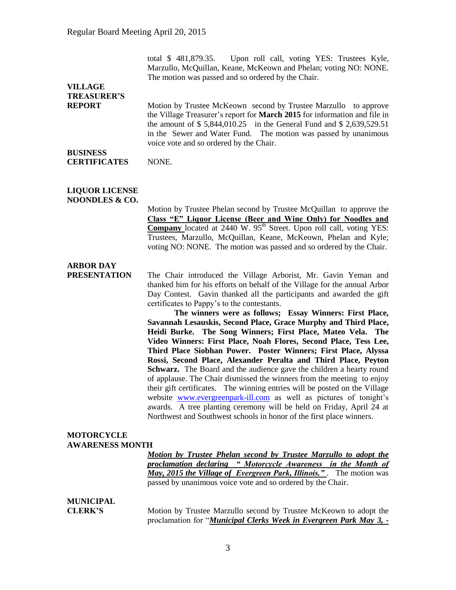total \$ 481,879.35. Upon roll call, voting YES: Trustees Kyle, Marzullo, McQuillan, Keane, McKeown and Phelan; voting NO: NONE. The motion was passed and so ordered by the Chair.

## **VILLAGE TREASURER'S**

**REPORT** Motion by Trustee McKeown second by Trustee Marzullo to approve the Village Treasurer's report for **March 2015** for information and file in the amount of \$ 5,844,010.25 in the General Fund and \$ 2,639,529.51 in the Sewer and Water Fund. The motion was passed by unanimous voice vote and so ordered by the Chair.

#### **BUSINESS CERTIFICATES** NONE.

#### **LIQUOR LICENSE NOONDLES & CO.**

Motion by Trustee Phelan second by Trustee McQuillan to approve the **Class "E" Liquor License (Beer and Wine Only) for Noodles and Company** located at 2440 W. 95<sup>th</sup> Street. Upon roll call, voting YES: Trustees, Marzullo, McQuillan, Keane, McKeown, Phelan and Kyle; voting NO: NONE. The motion was passed and so ordered by the Chair.

### **ARBOR DAY**

**PRESENTATION** The Chair introduced the Village Arborist, Mr. Gavin Yeman and thanked him for his efforts on behalf of the Village for the annual Arbor Day Contest. Gavin thanked all the participants and awarded the gift certificates to Pappy's to the contestants.

**The winners were as follows; Essay Winners: First Place, Savannah Lesauskis, Second Place, Grace Murphy and Third Place, Heidi Burke. The Song Winners; First Place, Mateo Vela. The Video Winners: First Place, Noah Flores, Second Place, Tess Lee, Third Place Siobhan Power. Poster Winners; First Place, Alyssa Rossi, Second Place, Alexander Peralta and Third Place, Peyton Schwarz.** The Board and the audience gave the children a hearty round of applause. The Chair dismissed the winners from the meeting to enjoy their gift certificates. The winning entries will be posted on the Village website [www.evergreenpark-ill.com](http://www.evergreenpark-ill.com/) as well as pictures of tonight's awards. A tree planting ceremony will be held on Friday, April 24 at Northwest and Southwest schools in honor of the first place winners.

#### **MOTORCYCLE AWARENESS MONTH**

*Motion by Trustee Phelan second by Trustee Marzullo to adopt the proclamation declaring " Motorcycle Awareness in the Month of May, 2015 the Village of Evergreen Park, Illinois."* . The motion was passed by unanimous voice vote and so ordered by the Chair.

### **MUNICIPAL**

**CLERK'S** Motion by Trustee Marzullo second by Trustee McKeown to adopt the proclamation for "*Municipal Clerks Week in Evergreen Park May 3, -*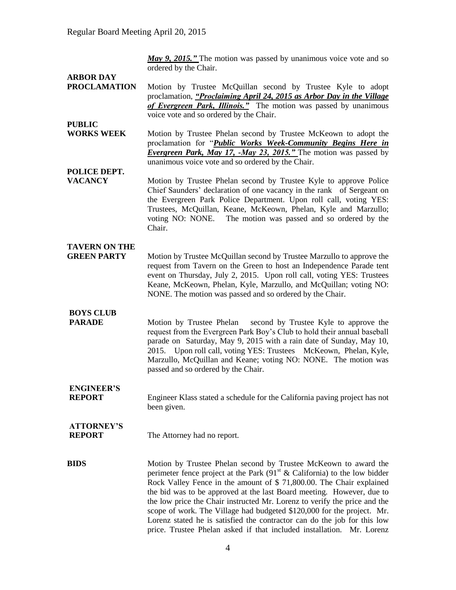*May 9, 2015."* The motion was passed by unanimous voice vote and so ordered by the Chair.

# **ARBOR DAY**

- Motion by Trustee McQuillan second by Trustee Kyle to adopt proclamation, *"Proclaiming April 24, 2015 as Arbor Day in the Village of Evergreen Park, Illinois."* The motion was passed by unanimous voice vote and so ordered by the Chair.
- **PUBLIC WORKS WEEK** Motion by Trustee Phelan second by Trustee McKeown to adopt the proclamation for "*Public Works Week-Community Begins Here in Evergreen Park, May 17, -May 23, 2015."* The motion was passed by unanimous voice vote and so ordered by the Chair.
- **POLICE DEPT.**
- **VACANCY** Motion by Trustee Phelan second by Trustee Kyle to approve Police Chief Saunders' declaration of one vacancy in the rank of Sergeant on the Evergreen Park Police Department. Upon roll call, voting YES: Trustees, McQuillan, Keane, McKeown, Phelan, Kyle and Marzullo; voting NO: NONE. The motion was passed and so ordered by the Chair.

#### **TAVERN ON THE**

**GREEN PARTY** Motion by Trustee McQuillan second by Trustee Marzullo to approve the request from Tavern on the Green to host an Independence Parade tent event on Thursday, July 2, 2015. Upon roll call, voting YES: Trustees Keane, McKeown, Phelan, Kyle, Marzullo, and McQuillan; voting NO: NONE. The motion was passed and so ordered by the Chair.

### **BOYS CLUB**

**PARADE** Motion by Trustee Phelan second by Trustee Kyle to approve the request from the Evergreen Park Boy's Club to hold their annual baseball parade on Saturday, May 9, 2015 with a rain date of Sunday, May 10, 2015. Upon roll call, voting YES: Trustees McKeown, Phelan, Kyle, Marzullo, McQuillan and Keane; voting NO: NONE. The motion was passed and so ordered by the Chair.

## **ENGINEER'S**

**REPORT** Engineer Klass stated a schedule for the California paving project has not been given.

# **ATTORNEY'S**

**REPORT** The Attorney had no report.

**BIDS** Motion by Trustee Phelan second by Trustee McKeown to award the perimeter fence project at the Park  $(91<sup>st</sup> \&$  California) to the low bidder Rock Valley Fence in the amount of \$ 71,800.00. The Chair explained the bid was to be approved at the last Board meeting. However, due to the low price the Chair instructed Mr. Lorenz to verify the price and the scope of work. The Village had budgeted \$120,000 for the project. Mr. Lorenz stated he is satisfied the contractor can do the job for this low price. Trustee Phelan asked if that included installation. Mr. Lorenz